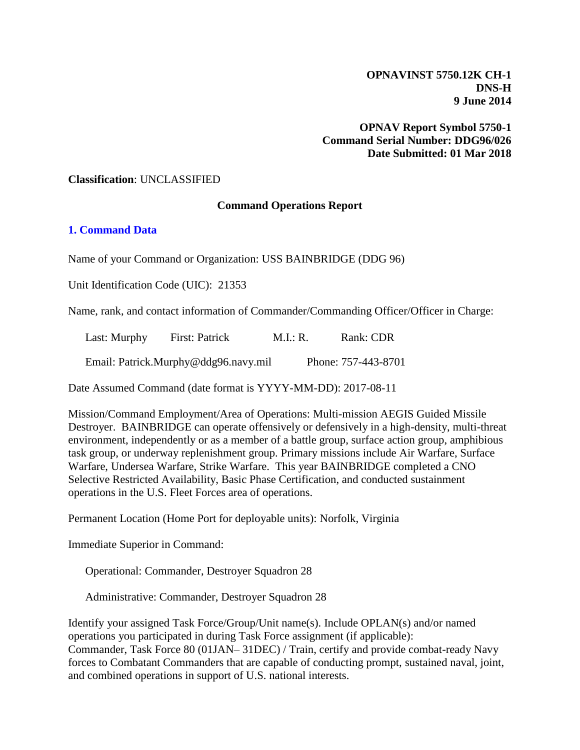**OPNAVINST 5750.12K CH-1 DNS-H 9 June 2014**

**OPNAV Report Symbol 5750-1 Command Serial Number: DDG96/026 Date Submitted: 01 Mar 2018**

#### **Classification**: UNCLASSIFIED

#### **Command Operations Report**

#### **1. Command Data**

Name of your Command or Organization: USS BAINBRIDGE (DDG 96)

Unit Identification Code (UIC): 21353

Name, rank, and contact information of Commander/Commanding Officer/Officer in Charge:

| Last: Murphy                         | First: Patrick | M.I.: R. | Rank: CDR           |
|--------------------------------------|----------------|----------|---------------------|
| Email: Patrick.Murphy@ddg96.navy.mil |                |          | Phone: 757-443-8701 |

Date Assumed Command (date format is YYYY-MM-DD): 2017-08-11

Mission/Command Employment/Area of Operations: Multi-mission AEGIS Guided Missile Destroyer. BAINBRIDGE can operate offensively or defensively in a high-density, multi-threat environment, independently or as a member of a battle group, surface action group, amphibious task group, or underway replenishment group. Primary missions include Air Warfare, Surface Warfare, Undersea Warfare, Strike Warfare. This year BAINBRIDGE completed a CNO Selective Restricted Availability, Basic Phase Certification, and conducted sustainment operations in the U.S. Fleet Forces area of operations.

Permanent Location (Home Port for deployable units): Norfolk, Virginia

Immediate Superior in Command:

Operational: Commander, Destroyer Squadron 28

Administrative: Commander, Destroyer Squadron 28

Identify your assigned Task Force/Group/Unit name(s). Include OPLAN(s) and/or named operations you participated in during Task Force assignment (if applicable): Commander, Task Force 80 (01JAN– 31DEC) / Train, certify and provide combat-ready Navy forces to Combatant Commanders that are capable of conducting prompt, sustained naval, joint, and combined operations in support of U.S. national interests.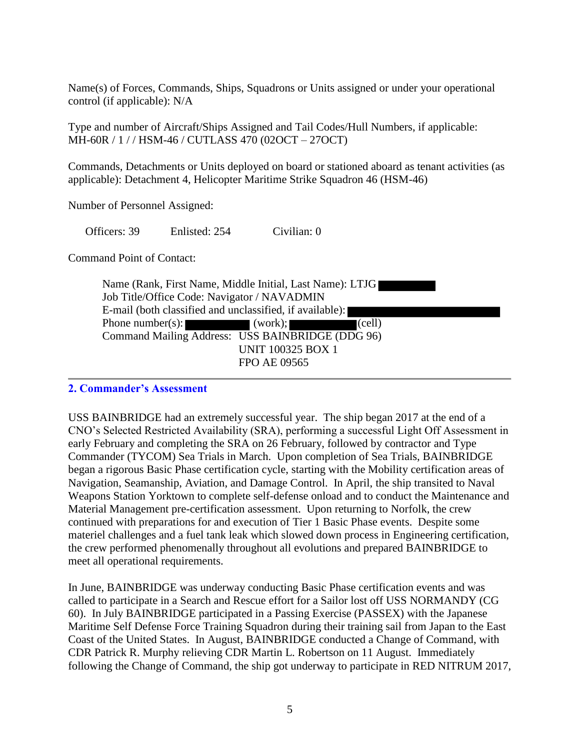Name(s) of Forces, Commands, Ships, Squadrons or Units assigned or under your operational control (if applicable): N/A

Type and number of Aircraft/Ships Assigned and Tail Codes/Hull Numbers, if applicable: MH-60R / 1 / / HSM-46 / CUTLASS 470 (02OCT – 27OCT)

Commands, Detachments or Units deployed on board or stationed aboard as tenant activities (as applicable): Detachment 4, Helicopter Maritime Strike Squadron 46 (HSM-46)

Number of Personnel Assigned:

Officers: 39 Enlisted: 254 Civilian: 0

Command Point of Contact:

| Name (Rank, First Name, Middle Initial, Last Name): LTJG |                                                  |  |  |
|----------------------------------------------------------|--------------------------------------------------|--|--|
| Job Title/Office Code: Navigator / NAVADMIN              |                                                  |  |  |
| E-mail (both classified and unclassified, if available): |                                                  |  |  |
| Phone number(s): $(work);$                               | (cell)                                           |  |  |
|                                                          | Command Mailing Address: USS BAINBRIDGE (DDG 96) |  |  |
|                                                          | <b>UNIT 100325 BOX 1</b>                         |  |  |
|                                                          | <b>FPO AE 09565</b>                              |  |  |

### **2. Commander's Assessment**

USS BAINBRIDGE had an extremely successful year. The ship began 2017 at the end of a CNO's Selected Restricted Availability (SRA), performing a successful Light Off Assessment in early February and completing the SRA on 26 February, followed by contractor and Type Commander (TYCOM) Sea Trials in March. Upon completion of Sea Trials, BAINBRIDGE began a rigorous Basic Phase certification cycle, starting with the Mobility certification areas of Navigation, Seamanship, Aviation, and Damage Control. In April, the ship transited to Naval Weapons Station Yorktown to complete self-defense onload and to conduct the Maintenance and Material Management pre-certification assessment. Upon returning to Norfolk, the crew continued with preparations for and execution of Tier 1 Basic Phase events. Despite some materiel challenges and a fuel tank leak which slowed down process in Engineering certification, the crew performed phenomenally throughout all evolutions and prepared BAINBRIDGE to meet all operational requirements.

In June, BAINBRIDGE was underway conducting Basic Phase certification events and was called to participate in a Search and Rescue effort for a Sailor lost off USS NORMANDY (CG 60). In July BAINBRIDGE participated in a Passing Exercise (PASSEX) with the Japanese Maritime Self Defense Force Training Squadron during their training sail from Japan to the East Coast of the United States. In August, BAINBRIDGE conducted a Change of Command, with CDR Patrick R. Murphy relieving CDR Martin L. Robertson on 11 August. Immediately following the Change of Command, the ship got underway to participate in RED NITRUM 2017,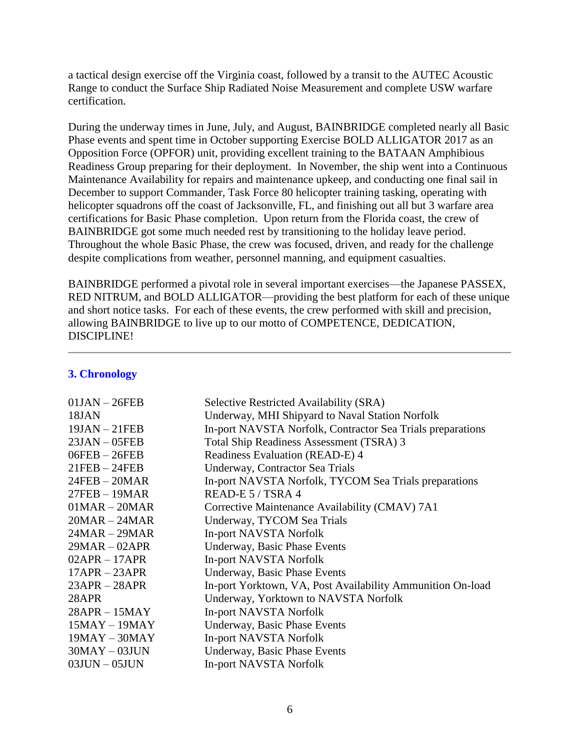a tactical design exercise off the Virginia coast, followed by a transit to the AUTEC Acoustic Range to conduct the Surface Ship Radiated Noise Measurement and complete USW warfare certification.

During the underway times in June, July, and August, BAINBRIDGE completed nearly all Basic Phase events and spent time in October supporting Exercise BOLD ALLIGATOR 2017 as an Opposition Force (OPFOR) unit, providing excellent training to the BATAAN Amphibious Readiness Group preparing for their deployment. In November, the ship went into a Continuous Maintenance Availability for repairs and maintenance upkeep, and conducting one final sail in December to support Commander, Task Force 80 helicopter training tasking, operating with helicopter squadrons off the coast of Jacksonville, FL, and finishing out all but 3 warfare area certifications for Basic Phase completion. Upon return from the Florida coast, the crew of BAINBRIDGE got some much needed rest by transitioning to the holiday leave period. Throughout the whole Basic Phase, the crew was focused, driven, and ready for the challenge despite complications from weather, personnel manning, and equipment casualties.

BAINBRIDGE performed a pivotal role in several important exercises—the Japanese PASSEX, RED NITRUM, and BOLD ALLIGATOR—providing the best platform for each of these unique and short notice tasks. For each of these events, the crew performed with skill and precision, allowing BAINBRIDGE to live up to our motto of COMPETENCE, DEDICATION, DISCIPLINE!

| $01JAN - 26FEB$     | Selective Restricted Availability (SRA)                    |  |  |
|---------------------|------------------------------------------------------------|--|--|
| 18JAN               | Underway, MHI Shipyard to Naval Station Norfolk            |  |  |
| $19JAN - 21FEB$     | In-port NAVSTA Norfolk, Contractor Sea Trials preparations |  |  |
| $23JAN - 05FEB$     | Total Ship Readiness Assessment (TSRA) 3                   |  |  |
| $06FEB - 26FEB$     | Readiness Evaluation (READ-E) 4                            |  |  |
| $21$ FEB $- 24$ FEB | Underway, Contractor Sea Trials                            |  |  |
| $24FEB - 20MAR$     | In-port NAVSTA Norfolk, TYCOM Sea Trials preparations      |  |  |
| $27FEB - 19MAR$     | READ-E 5 / TSRA 4                                          |  |  |
| $01MR - 20MAR$      | Corrective Maintenance Availability (CMAV) 7A1             |  |  |
| $20MR - 24MAR$      | Underway, TYCOM Sea Trials                                 |  |  |
| $24MAR - 29MAR$     | In-port NAVSTA Norfolk                                     |  |  |
| $29MAR - 02APR$     | Underway, Basic Phase Events                               |  |  |
| $02APR - 17APR$     | In-port NAVSTA Norfolk                                     |  |  |
| $17APR - 23APR$     | Underway, Basic Phase Events                               |  |  |
| $23APR - 28APR$     | In-port Yorktown, VA, Post Availability Ammunition On-load |  |  |
| 28APR               | Underway, Yorktown to NAVSTA Norfolk                       |  |  |
| $28APR - 15MAY$     | In-port NAVSTA Norfolk                                     |  |  |
| $15$ MAY $- 19$ MAY | Underway, Basic Phase Events                               |  |  |
| $19$ MAY $- 30$ MAY | In-port NAVSTA Norfolk                                     |  |  |
| $30$ MAY $-03$ JUN  | Underway, Basic Phase Events                               |  |  |
| $03$ JUN $-05$ JUN  | In-port NAVSTA Norfolk                                     |  |  |
|                     |                                                            |  |  |

#### **3. Chronology**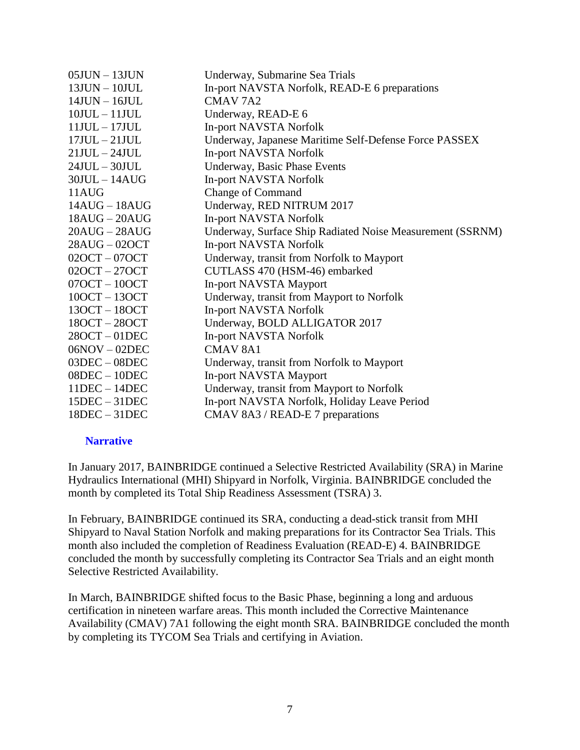| $05$ JUN $-13$ JUN | Underway, Submarine Sea Trials                            |  |
|--------------------|-----------------------------------------------------------|--|
| $13$ JUN $-10$ JUL | In-port NAVSTA Norfolk, READ-E 6 preparations             |  |
| $14JUN - 16JUL$    | CMAV <sub>7A2</sub>                                       |  |
| $10JUL - 11JUL$    | Underway, READ-E 6                                        |  |
| $11JUL - 17JUL$    | In-port NAVSTA Norfolk                                    |  |
| $17JUL - 21JUL$    | Underway, Japanese Maritime Self-Defense Force PASSEX     |  |
| $21JUL - 24JUL$    | In-port NAVSTA Norfolk                                    |  |
| $24JUL - 30JUL$    | Underway, Basic Phase Events                              |  |
| $30JUL - 14AUG$    | In-port NAVSTA Norfolk                                    |  |
| 11AUG              | <b>Change of Command</b>                                  |  |
| $14AUG - 18AUG$    | Underway, RED NITRUM 2017                                 |  |
| $18AUG - 20AUG$    | In-port NAVSTA Norfolk                                    |  |
| $20AUG - 28AUG$    | Underway, Surface Ship Radiated Noise Measurement (SSRNM) |  |
| $28AUG - 02OCT$    | In-port NAVSTA Norfolk                                    |  |
| $020CT - 070CT$    | Underway, transit from Norfolk to Mayport                 |  |
| $020CT - 270CT$    | CUTLASS 470 (HSM-46) embarked                             |  |
| $070CT - 100CT$    | <b>In-port NAVSTA Mayport</b>                             |  |
| $100CT - 130CT$    | Underway, transit from Mayport to Norfolk                 |  |
| $130CT - 180CT$    | In-port NAVSTA Norfolk                                    |  |
| $180CT - 280CT$    | Underway, BOLD ALLIGATOR 2017                             |  |
| $280CT - 01DEC$    | In-port NAVSTA Norfolk                                    |  |
| $06NOV - 02DEC$    | <b>CMAV 8A1</b>                                           |  |
| $03DEC - 08DEC$    | Underway, transit from Norfolk to Mayport                 |  |
| $08DEC - 10DEC$    | In-port NAVSTA Mayport                                    |  |
| $11DEC - 14DEC$    | Underway, transit from Mayport to Norfolk                 |  |
| $15DEC - 31DEC$    | In-port NAVSTA Norfolk, Holiday Leave Period              |  |
| $18DEC - 31DEC$    | CMAV 8A3 / READ-E 7 preparations                          |  |

#### **Narrative**

In January 2017, BAINBRIDGE continued a Selective Restricted Availability (SRA) in Marine Hydraulics International (MHI) Shipyard in Norfolk, Virginia. BAINBRIDGE concluded the month by completed its Total Ship Readiness Assessment (TSRA) 3.

In February, BAINBRIDGE continued its SRA, conducting a dead-stick transit from MHI Shipyard to Naval Station Norfolk and making preparations for its Contractor Sea Trials. This month also included the completion of Readiness Evaluation (READ-E) 4. BAINBRIDGE concluded the month by successfully completing its Contractor Sea Trials and an eight month Selective Restricted Availability.

In March, BAINBRIDGE shifted focus to the Basic Phase, beginning a long and arduous certification in nineteen warfare areas. This month included the Corrective Maintenance Availability (CMAV) 7A1 following the eight month SRA. BAINBRIDGE concluded the month by completing its TYCOM Sea Trials and certifying in Aviation.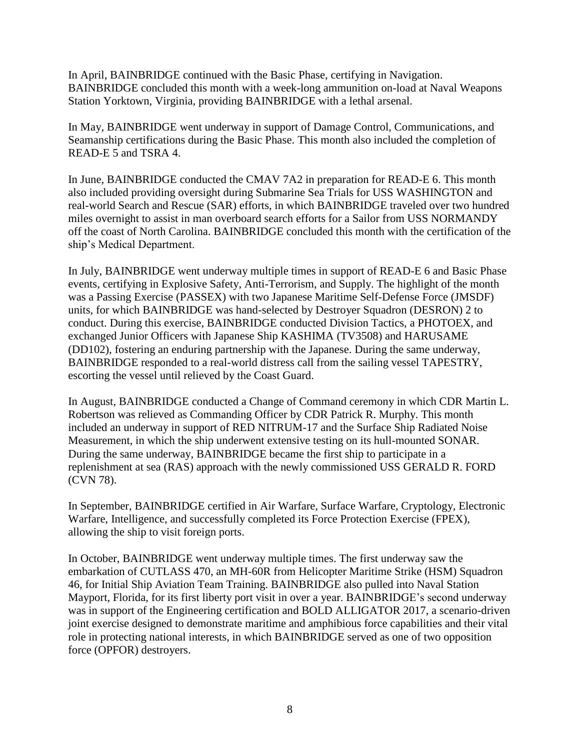In April, BAINBRIDGE continued with the Basic Phase, certifying in Navigation. BAINBRIDGE concluded this month with a week-long ammunition on-load at Naval Weapons Station Yorktown, Virginia, providing BAINBRIDGE with a lethal arsenal.

In May, BAINBRIDGE went underway in support of Damage Control, Communications, and Seamanship certifications during the Basic Phase. This month also included the completion of READ-E 5 and TSRA 4.

In June, BAINBRIDGE conducted the CMAV 7A2 in preparation for READ-E 6. This month also included providing oversight during Submarine Sea Trials for USS WASHINGTON and real-world Search and Rescue (SAR) efforts, in which BAINBRIDGE traveled over two hundred miles overnight to assist in man overboard search efforts for a Sailor from USS NORMANDY off the coast of North Carolina. BAINBRIDGE concluded this month with the certification of the ship's Medical Department.

In July, BAINBRIDGE went underway multiple times in support of READ-E 6 and Basic Phase events, certifying in Explosive Safety, Anti-Terrorism, and Supply. The highlight of the month was a Passing Exercise (PASSEX) with two Japanese Maritime Self-Defense Force (JMSDF) units, for which BAINBRIDGE was hand-selected by Destroyer Squadron (DESRON) 2 to conduct. During this exercise, BAINBRIDGE conducted Division Tactics, a PHOTOEX, and exchanged Junior Officers with Japanese Ship KASHIMA (TV3508) and HARUSAME (DD102), fostering an enduring partnership with the Japanese. During the same underway, BAINBRIDGE responded to a real-world distress call from the sailing vessel TAPESTRY, escorting the vessel until relieved by the Coast Guard.

In August, BAINBRIDGE conducted a Change of Command ceremony in which CDR Martin L. Robertson was relieved as Commanding Officer by CDR Patrick R. Murphy. This month included an underway in support of RED NITRUM-17 and the Surface Ship Radiated Noise Measurement, in which the ship underwent extensive testing on its hull-mounted SONAR. During the same underway, BAINBRIDGE became the first ship to participate in a replenishment at sea (RAS) approach with the newly commissioned USS GERALD R. FORD (CVN 78).

In September, BAINBRIDGE certified in Air Warfare, Surface Warfare, Cryptology, Electronic Warfare, Intelligence, and successfully completed its Force Protection Exercise (FPEX), allowing the ship to visit foreign ports.

In October, BAINBRIDGE went underway multiple times. The first underway saw the embarkation of CUTLASS 470, an MH-60R from Helicopter Maritime Strike (HSM) Squadron 46, for Initial Ship Aviation Team Training. BAINBRIDGE also pulled into Naval Station Mayport, Florida, for its first liberty port visit in over a year. BAINBRIDGE's second underway was in support of the Engineering certification and BOLD ALLIGATOR 2017, a scenario-driven joint exercise designed to demonstrate maritime and amphibious force capabilities and their vital role in protecting national interests, in which BAINBRIDGE served as one of two opposition force (OPFOR) destroyers.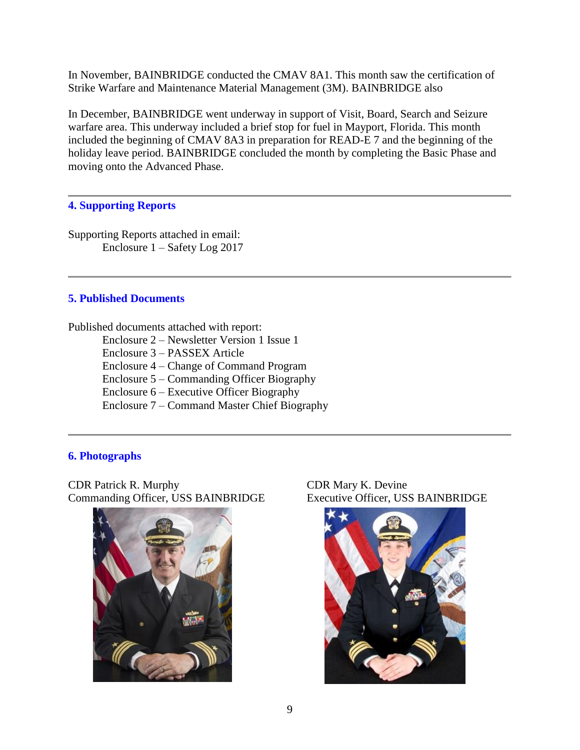In November, BAINBRIDGE conducted the CMAV 8A1. This month saw the certification of Strike Warfare and Maintenance Material Management (3M). BAINBRIDGE also

In December, BAINBRIDGE went underway in support of Visit, Board, Search and Seizure warfare area. This underway included a brief stop for fuel in Mayport, Florida. This month included the beginning of CMAV 8A3 in preparation for READ-E 7 and the beginning of the holiday leave period. BAINBRIDGE concluded the month by completing the Basic Phase and moving onto the Advanced Phase.

# **4. Supporting Reports**

Supporting Reports attached in email: Enclosure 1 – Safety Log 2017

# **5. Published Documents**

Published documents attached with report: Enclosure 2 – Newsletter Version 1 Issue 1 Enclosure 3 – PASSEX Article Enclosure 4 – Change of Command Program Enclosure 5 – Commanding Officer Biography Enclosure 6 – Executive Officer Biography Enclosure 7 – Command Master Chief Biography

# **6. Photographs**

CDR Patrick R. Murphy CDR Mary K. Devine Commanding Officer, USS BAINBRIDGE Executive Officer, USS BAINBRIDGE